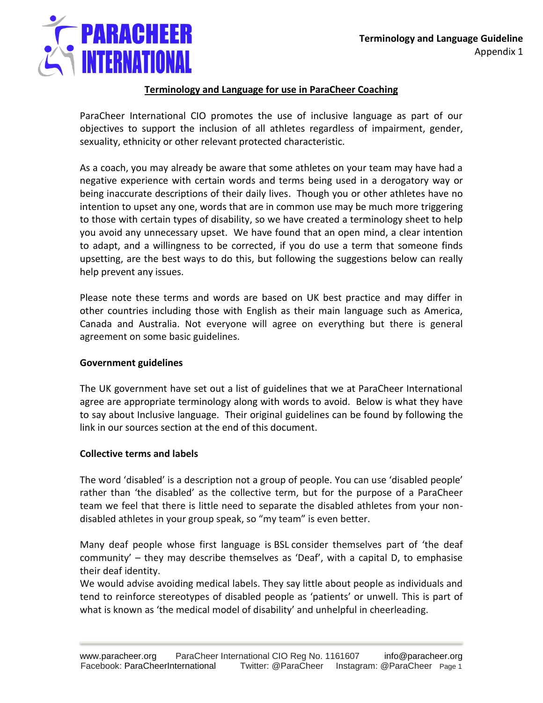

# **Terminology and Language for use in ParaCheer Coaching**

ParaCheer International CIO promotes the use of inclusive language as part of our objectives to support the inclusion of all athletes regardless of impairment, gender, sexuality, ethnicity or other relevant protected characteristic.

As a coach, you may already be aware that some athletes on your team may have had a negative experience with certain words and terms being used in a derogatory way or being inaccurate descriptions of their daily lives. Though you or other athletes have no intention to upset any one, words that are in common use may be much more triggering to those with certain types of disability, so we have created a terminology sheet to help you avoid any unnecessary upset. We have found that an open mind, a clear intention to adapt, and a willingness to be corrected, if you do use a term that someone finds upsetting, are the best ways to do this, but following the suggestions below can really help prevent any issues.

Please note these terms and words are based on UK best practice and may differ in other countries including those with English as their main language such as America, Canada and Australia. Not everyone will agree on everything but there is general agreement on some basic guidelines.

# **Government guidelines**

The UK government have set out a list of guidelines that we at ParaCheer International agree are appropriate terminology along with words to avoid. Below is what they have to say about Inclusive language. Their original guidelines can be found by following the link in our sources section at the end of this document.

# **Collective terms and labels**

The word 'disabled' is a description not a group of people. You can use 'disabled people' rather than 'the disabled' as the collective term, but for the purpose of a ParaCheer team we feel that there is little need to separate the disabled athletes from your nondisabled athletes in your group speak, so "my team" is even better.

Many deaf people whose first language is BSL consider themselves part of 'the deaf community' – they may describe themselves as 'Deaf', with a capital D, to emphasise their deaf identity.

We would advise avoiding medical labels. They say little about people as individuals and tend to reinforce stereotypes of disabled people as 'patients' or unwell. This is part of what is known as 'the medical model of disability' and unhelpful in cheerleading.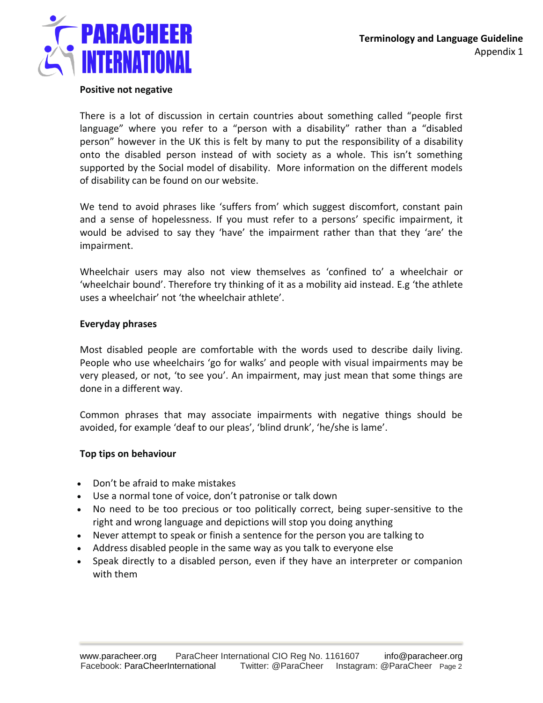

### **Positive not negative**

There is a lot of discussion in certain countries about something called "people first language" where you refer to a "person with a disability" rather than a "disabled person" however in the UK this is felt by many to put the responsibility of a disability onto the disabled person instead of with society as a whole. This isn't something supported by the Social model of disability. More information on the different models of disability can be found on our website.

We tend to avoid phrases like 'suffers from' which suggest discomfort, constant pain and a sense of hopelessness. If you must refer to a persons' specific impairment, it would be advised to say they 'have' the impairment rather than that they 'are' the impairment.

Wheelchair users may also not view themselves as 'confined to' a wheelchair or 'wheelchair bound'. Therefore try thinking of it as a mobility aid instead. E.g 'the athlete uses a wheelchair' not 'the wheelchair athlete'.

#### **Everyday phrases**

Most disabled people are comfortable with the words used to describe daily living. People who use wheelchairs 'go for walks' and people with visual impairments may be very pleased, or not, 'to see you'. An impairment, may just mean that some things are done in a different way.

Common phrases that may associate impairments with negative things should be avoided, for example 'deaf to our pleas', 'blind drunk', 'he/she is lame'.

### **Top tips on behaviour**

- Don't be afraid to make mistakes
- Use a normal tone of voice, don't patronise or talk down
- No need to be too precious or too politically correct, being super-sensitive to the right and wrong language and depictions will stop you doing anything
- Never attempt to speak or finish a sentence for the person you are talking to
- Address disabled people in the same way as you talk to everyone else
- Speak directly to a disabled person, even if they have an interpreter or companion with them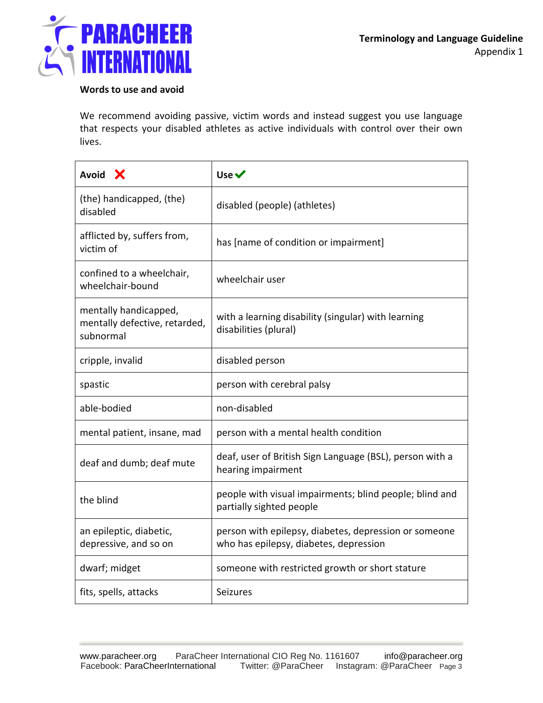

### **Words to use and avoid**

We recommend avoiding passive, victim words and instead suggest you use language that respects your disabled athletes as active individuals with control over their own lives.

| Avoid X                                                             | Use $\checkmark$                                                                                |
|---------------------------------------------------------------------|-------------------------------------------------------------------------------------------------|
| (the) handicapped, (the)<br>disabled                                | disabled (people) (athletes)                                                                    |
| afflicted by, suffers from,<br>victim of                            | has [name of condition or impairment]                                                           |
| confined to a wheelchair,<br>wheelchair-bound                       | wheelchair user                                                                                 |
| mentally handicapped,<br>mentally defective, retarded,<br>subnormal | with a learning disability (singular) with learning<br>disabilities (plural)                    |
| cripple, invalid                                                    | disabled person                                                                                 |
| spastic                                                             | person with cerebral palsy                                                                      |
| able-bodied                                                         | non-disabled                                                                                    |
| mental patient, insane, mad                                         | person with a mental health condition                                                           |
| deaf and dumb; deaf mute                                            | deaf, user of British Sign Language (BSL), person with a<br>hearing impairment                  |
| the blind                                                           | people with visual impairments; blind people; blind and<br>partially sighted people             |
| an epileptic, diabetic,<br>depressive, and so on                    | person with epilepsy, diabetes, depression or someone<br>who has epilepsy, diabetes, depression |
| dwarf; midget                                                       | someone with restricted growth or short stature                                                 |
| fits, spells, attacks                                               | Seizures                                                                                        |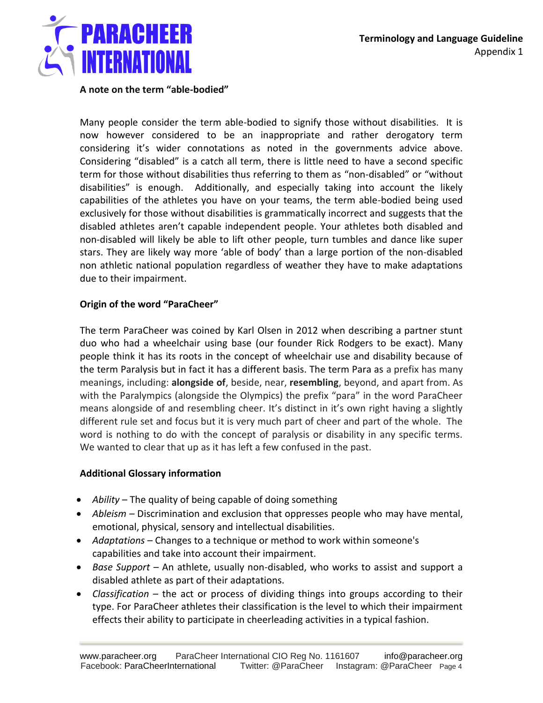

### **A note on the term "able-bodied"**

Many people consider the term able-bodied to signify those without disabilities. It is now however considered to be an inappropriate and rather derogatory term considering it's wider connotations as noted in the governments advice above. Considering "disabled" is a catch all term, there is little need to have a second specific term for those without disabilities thus referring to them as "non-disabled" or "without disabilities" is enough. Additionally, and especially taking into account the likely capabilities of the athletes you have on your teams, the term able-bodied being used exclusively for those without disabilities is grammatically incorrect and suggests that the disabled athletes aren't capable independent people. Your athletes both disabled and non-disabled will likely be able to lift other people, turn tumbles and dance like super stars. They are likely way more 'able of body' than a large portion of the non-disabled non athletic national population regardless of weather they have to make adaptations due to their impairment.

### **Origin of the word "ParaCheer"**

The term ParaCheer was coined by Karl Olsen in 2012 when describing a partner stunt duo who had a wheelchair using base (our founder Rick Rodgers to be exact). Many people think it has its roots in the concept of wheelchair use and disability because of the term Paralysis but in fact it has a different basis. The term Para as a prefix has many meanings, including: **alongside of**, beside, near, **resembling**, beyond, and apart from. As with the Paralympics (alongside the Olympics) the prefix "para" in the word ParaCheer means alongside of and resembling cheer. It's distinct in it's own right having a slightly different rule set and focus but it is very much part of cheer and part of the whole. The word is nothing to do with the concept of paralysis or disability in any specific terms. We wanted to clear that up as it has left a few confused in the past.

# **Additional Glossary information**

- *Ability* The quality of being capable of doing something
- *Ableism* Discrimination and exclusion that oppresses people who may have mental, emotional, physical, sensory and intellectual disabilities.
- *Adaptations* Changes to a technique or method to work within someone's capabilities and take into account their impairment.
- *Base Support*  An athlete, usually non-disabled, who works to assist and support a disabled athlete as part of their adaptations.
- *Classification*  the act or process of dividing things into groups according to their type. For ParaCheer athletes their classification is the level to which their impairment effects their ability to participate in cheerleading activities in a typical fashion.